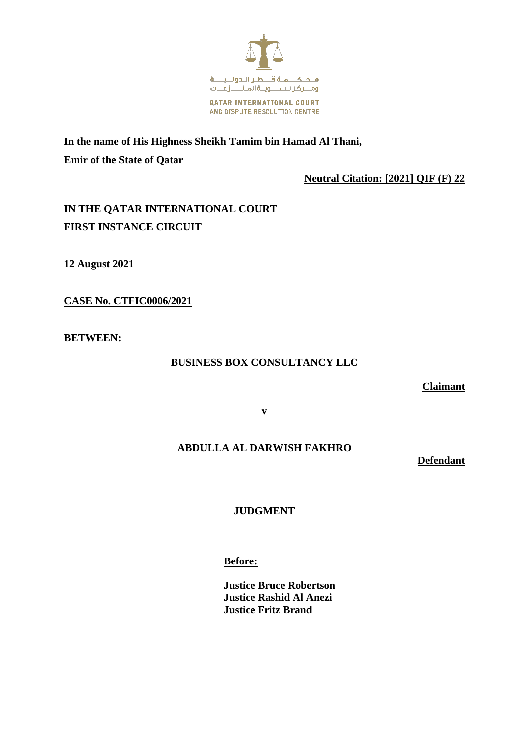

**In the name of His Highness Sheikh Tamim bin Hamad Al Thani, Emir of the State of Qatar**

 **Neutral Citation: [2021] QIF (F) 22**

# **IN THE QATAR INTERNATIONAL COURT FIRST INSTANCE CIRCUIT**

**12 August 2021**

**CASE No. CTFIC0006/2021**

**BETWEEN:**

### **BUSINESS BOX CONSULTANCY LLC**

**Claimant**

**v**

## **ABDULLA AL DARWISH FAKHRO**

**Defendant**

**JUDGMENT**

**Before:**

**Justice Bruce Robertson Justice Rashid Al Anezi Justice Fritz Brand**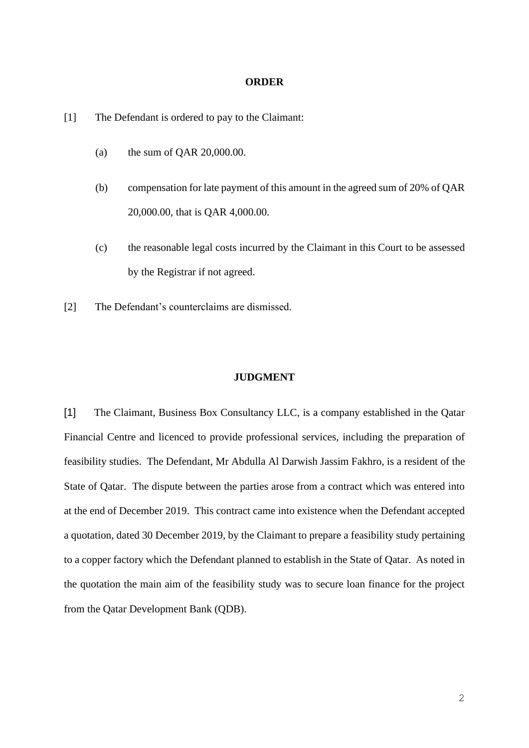#### **ORDER**

[1] The Defendant is ordered to pay to the Claimant:

- (a) the sum of QAR 20,000.00.
- (b) compensation for late payment of this amount in the agreed sum of 20% of QAR 20,000.00, that is QAR 4,000.00.
- (c) the reasonable legal costs incurred by the Claimant in this Court to be assessed by the Registrar if not agreed.
- [2] The Defendant's counterclaims are dismissed.

### **JUDGMENT**

[1] The Claimant, Business Box Consultancy LLC, is a company established in the Qatar Financial Centre and licenced to provide professional services, including the preparation of feasibility studies. The Defendant, Mr Abdulla Al Darwish Jassim Fakhro, is a resident of the State of Qatar. The dispute between the parties arose from a contract which was entered into at the end of December 2019. This contract came into existence when the Defendant accepted a quotation, dated 30 December 2019, by the Claimant to prepare a feasibility study pertaining to a copper factory which the Defendant planned to establish in the State of Qatar. As noted in the quotation the main aim of the feasibility study was to secure loan finance for the project from the Qatar Development Bank (QDB).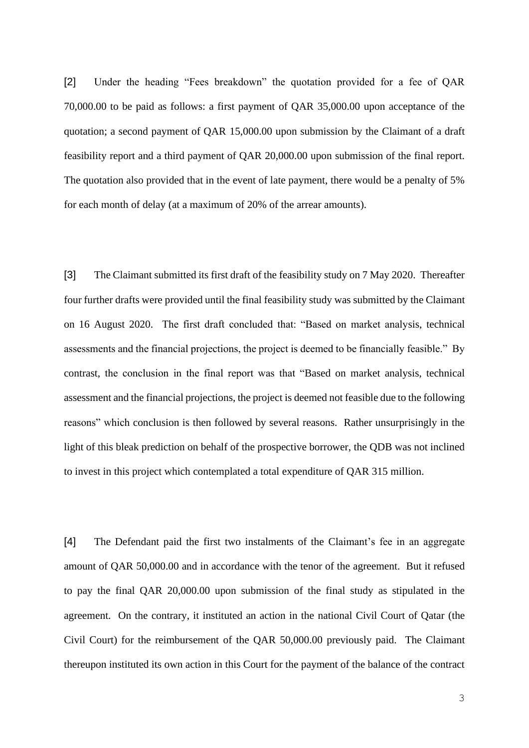[2] Under the heading "Fees breakdown" the quotation provided for a fee of QAR 70,000.00 to be paid as follows: a first payment of QAR 35,000.00 upon acceptance of the quotation; a second payment of QAR 15,000.00 upon submission by the Claimant of a draft feasibility report and a third payment of QAR 20,000.00 upon submission of the final report. The quotation also provided that in the event of late payment, there would be a penalty of 5% for each month of delay (at a maximum of 20% of the arrear amounts).

[3] The Claimant submitted its first draft of the feasibility study on 7 May 2020. Thereafter four further drafts were provided until the final feasibility study was submitted by the Claimant on 16 August 2020. The first draft concluded that: "Based on market analysis, technical assessments and the financial projections, the project is deemed to be financially feasible." By contrast, the conclusion in the final report was that "Based on market analysis, technical assessment and the financial projections, the project is deemed not feasible due to the following reasons" which conclusion is then followed by several reasons. Rather unsurprisingly in the light of this bleak prediction on behalf of the prospective borrower, the QDB was not inclined to invest in this project which contemplated a total expenditure of QAR 315 million.

[4] The Defendant paid the first two instalments of the Claimant's fee in an aggregate amount of QAR 50,000.00 and in accordance with the tenor of the agreement. But it refused to pay the final QAR 20,000.00 upon submission of the final study as stipulated in the agreement. On the contrary, it instituted an action in the national Civil Court of Qatar (the Civil Court) for the reimbursement of the QAR 50,000.00 previously paid. The Claimant thereupon instituted its own action in this Court for the payment of the balance of the contract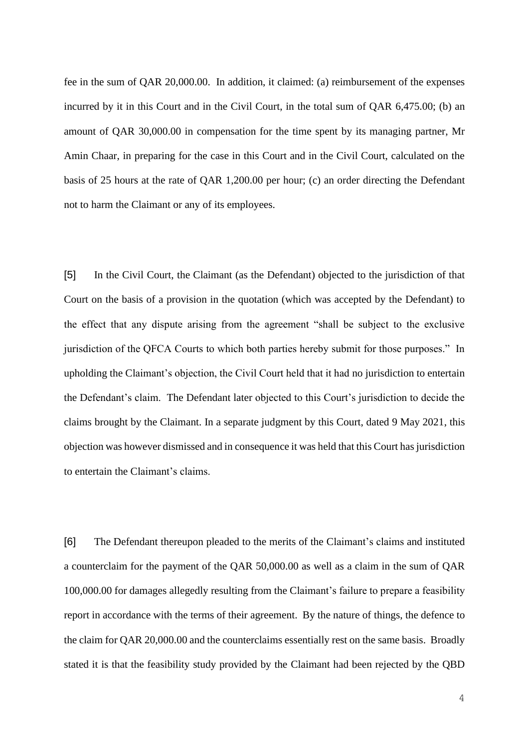fee in the sum of QAR 20,000.00. In addition, it claimed: (a) reimbursement of the expenses incurred by it in this Court and in the Civil Court, in the total sum of QAR 6,475.00; (b) an amount of QAR 30,000.00 in compensation for the time spent by its managing partner, Mr Amin Chaar, in preparing for the case in this Court and in the Civil Court, calculated on the basis of 25 hours at the rate of QAR 1,200.00 per hour; (c) an order directing the Defendant not to harm the Claimant or any of its employees.

[5] In the Civil Court, the Claimant (as the Defendant) objected to the jurisdiction of that Court on the basis of a provision in the quotation (which was accepted by the Defendant) to the effect that any dispute arising from the agreement "shall be subject to the exclusive jurisdiction of the QFCA Courts to which both parties hereby submit for those purposes." In upholding the Claimant's objection, the Civil Court held that it had no jurisdiction to entertain the Defendant's claim. The Defendant later objected to this Court's jurisdiction to decide the claims brought by the Claimant. In a separate judgment by this Court, dated 9 May 2021, this objection was however dismissed and in consequence it was held that this Court has jurisdiction to entertain the Claimant's claims.

[6] The Defendant thereupon pleaded to the merits of the Claimant's claims and instituted a counterclaim for the payment of the QAR 50,000.00 as well as a claim in the sum of QAR 100,000.00 for damages allegedly resulting from the Claimant's failure to prepare a feasibility report in accordance with the terms of their agreement. By the nature of things, the defence to the claim for QAR 20,000.00 and the counterclaims essentially rest on the same basis. Broadly stated it is that the feasibility study provided by the Claimant had been rejected by the QBD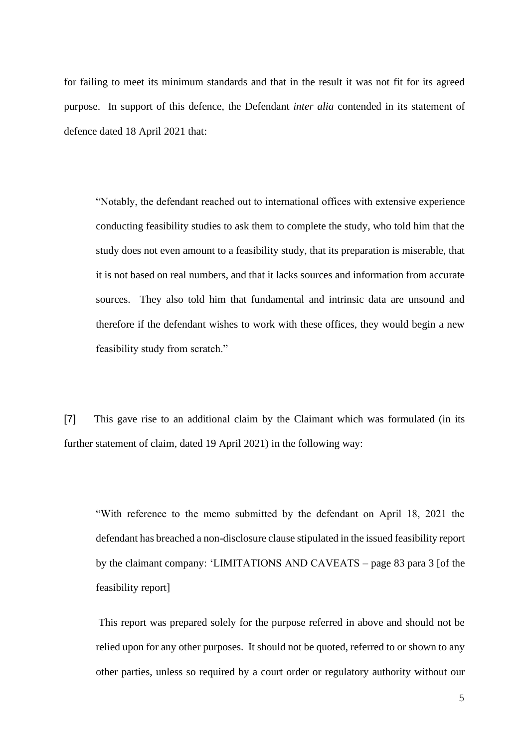for failing to meet its minimum standards and that in the result it was not fit for its agreed purpose. In support of this defence, the Defendant *inter alia* contended in its statement of defence dated 18 April 2021 that:

"Notably, the defendant reached out to international offices with extensive experience conducting feasibility studies to ask them to complete the study, who told him that the study does not even amount to a feasibility study, that its preparation is miserable, that it is not based on real numbers, and that it lacks sources and information from accurate sources. They also told him that fundamental and intrinsic data are unsound and therefore if the defendant wishes to work with these offices, they would begin a new feasibility study from scratch."

[7] This gave rise to an additional claim by the Claimant which was formulated (in its further statement of claim, dated 19 April 2021) in the following way:

"With reference to the memo submitted by the defendant on April 18, 2021 the defendant has breached a non-disclosure clause stipulated in the issued feasibility report by the claimant company: 'LIMITATIONS AND CAVEATS – page 83 para 3 [of the feasibility report]

This report was prepared solely for the purpose referred in above and should not be relied upon for any other purposes. It should not be quoted, referred to or shown to any other parties, unless so required by a court order or regulatory authority without our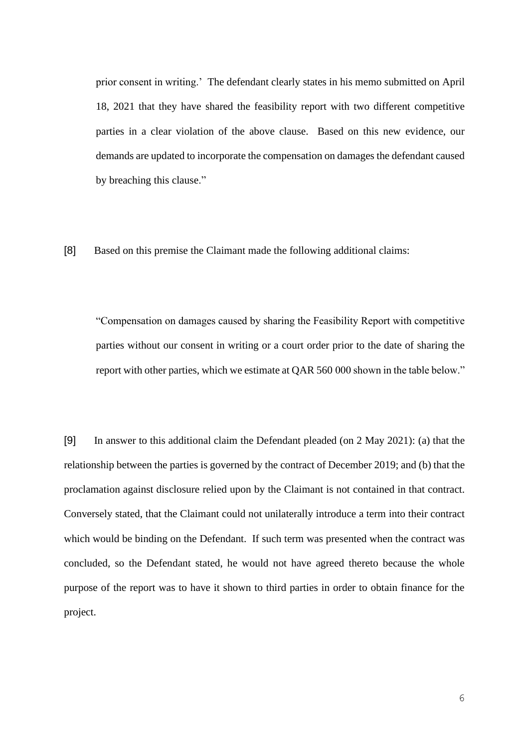prior consent in writing.' The defendant clearly states in his memo submitted on April 18, 2021 that they have shared the feasibility report with two different competitive parties in a clear violation of the above clause. Based on this new evidence, our demands are updated to incorporate the compensation on damages the defendant caused by breaching this clause."

[8] Based on this premise the Claimant made the following additional claims:

"Compensation on damages caused by sharing the Feasibility Report with competitive parties without our consent in writing or a court order prior to the date of sharing the report with other parties, which we estimate at QAR 560 000 shown in the table below."

[9] In answer to this additional claim the Defendant pleaded (on 2 May 2021): (a) that the relationship between the parties is governed by the contract of December 2019; and (b) that the proclamation against disclosure relied upon by the Claimant is not contained in that contract. Conversely stated, that the Claimant could not unilaterally introduce a term into their contract which would be binding on the Defendant. If such term was presented when the contract was concluded, so the Defendant stated, he would not have agreed thereto because the whole purpose of the report was to have it shown to third parties in order to obtain finance for the project.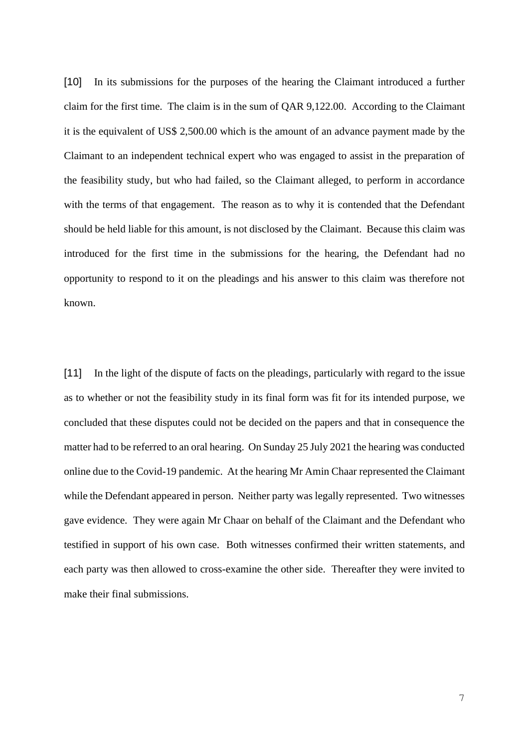[10] In its submissions for the purposes of the hearing the Claimant introduced a further claim for the first time. The claim is in the sum of QAR 9,122.00. According to the Claimant it is the equivalent of US\$ 2,500.00 which is the amount of an advance payment made by the Claimant to an independent technical expert who was engaged to assist in the preparation of the feasibility study, but who had failed, so the Claimant alleged, to perform in accordance with the terms of that engagement. The reason as to why it is contended that the Defendant should be held liable for this amount, is not disclosed by the Claimant. Because this claim was introduced for the first time in the submissions for the hearing, the Defendant had no opportunity to respond to it on the pleadings and his answer to this claim was therefore not known.

[11] In the light of the dispute of facts on the pleadings, particularly with regard to the issue as to whether or not the feasibility study in its final form was fit for its intended purpose, we concluded that these disputes could not be decided on the papers and that in consequence the matter had to be referred to an oral hearing. On Sunday 25 July 2021 the hearing was conducted online due to the Covid-19 pandemic. At the hearing Mr Amin Chaar represented the Claimant while the Defendant appeared in person. Neither party was legally represented. Two witnesses gave evidence. They were again Mr Chaar on behalf of the Claimant and the Defendant who testified in support of his own case. Both witnesses confirmed their written statements, and each party was then allowed to cross-examine the other side. Thereafter they were invited to make their final submissions.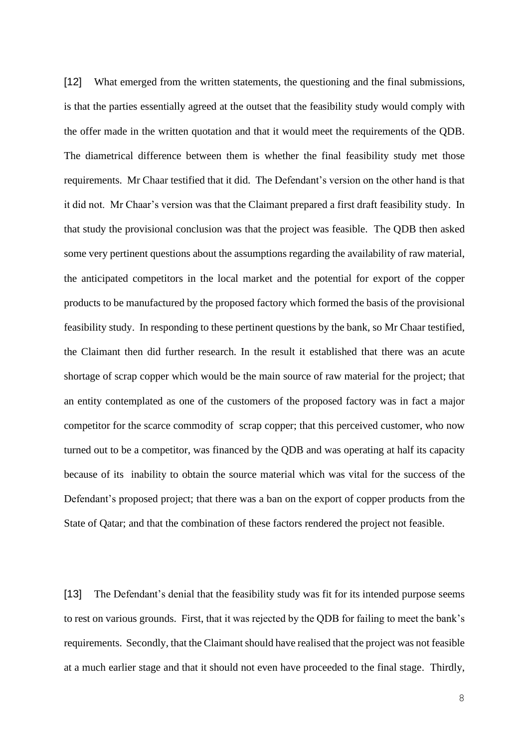[12] What emerged from the written statements, the questioning and the final submissions, is that the parties essentially agreed at the outset that the feasibility study would comply with the offer made in the written quotation and that it would meet the requirements of the QDB. The diametrical difference between them is whether the final feasibility study met those requirements. Mr Chaar testified that it did. The Defendant's version on the other hand is that it did not. Mr Chaar's version was that the Claimant prepared a first draft feasibility study. In that study the provisional conclusion was that the project was feasible. The QDB then asked some very pertinent questions about the assumptions regarding the availability of raw material, the anticipated competitors in the local market and the potential for export of the copper products to be manufactured by the proposed factory which formed the basis of the provisional feasibility study. In responding to these pertinent questions by the bank, so Mr Chaar testified, the Claimant then did further research. In the result it established that there was an acute shortage of scrap copper which would be the main source of raw material for the project; that an entity contemplated as one of the customers of the proposed factory was in fact a major competitor for the scarce commodity of scrap copper; that this perceived customer, who now turned out to be a competitor, was financed by the QDB and was operating at half its capacity because of its inability to obtain the source material which was vital for the success of the Defendant's proposed project; that there was a ban on the export of copper products from the State of Qatar; and that the combination of these factors rendered the project not feasible.

[13] The Defendant's denial that the feasibility study was fit for its intended purpose seems to rest on various grounds. First, that it was rejected by the QDB for failing to meet the bank's requirements. Secondly, that the Claimant should have realised that the project was not feasible at a much earlier stage and that it should not even have proceeded to the final stage. Thirdly,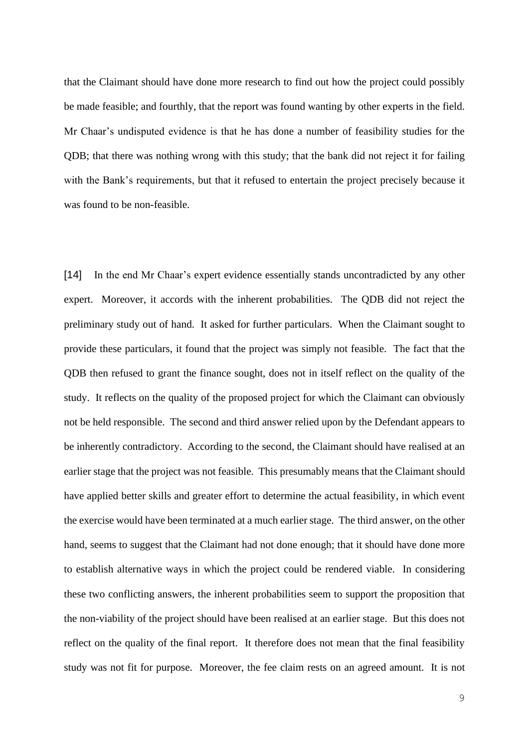that the Claimant should have done more research to find out how the project could possibly be made feasible; and fourthly, that the report was found wanting by other experts in the field. Mr Chaar's undisputed evidence is that he has done a number of feasibility studies for the QDB; that there was nothing wrong with this study; that the bank did not reject it for failing with the Bank's requirements, but that it refused to entertain the project precisely because it was found to be non-feasible.

[14] In the end Mr Chaar's expert evidence essentially stands uncontradicted by any other expert. Moreover, it accords with the inherent probabilities. The QDB did not reject the preliminary study out of hand. It asked for further particulars. When the Claimant sought to provide these particulars, it found that the project was simply not feasible. The fact that the QDB then refused to grant the finance sought, does not in itself reflect on the quality of the study. It reflects on the quality of the proposed project for which the Claimant can obviously not be held responsible. The second and third answer relied upon by the Defendant appears to be inherently contradictory. According to the second, the Claimant should have realised at an earlier stage that the project was not feasible. This presumably means that the Claimant should have applied better skills and greater effort to determine the actual feasibility, in which event the exercise would have been terminated at a much earlier stage. The third answer, on the other hand, seems to suggest that the Claimant had not done enough; that it should have done more to establish alternative ways in which the project could be rendered viable. In considering these two conflicting answers, the inherent probabilities seem to support the proposition that the non-viability of the project should have been realised at an earlier stage. But this does not reflect on the quality of the final report. It therefore does not mean that the final feasibility study was not fit for purpose. Moreover, the fee claim rests on an agreed amount. It is not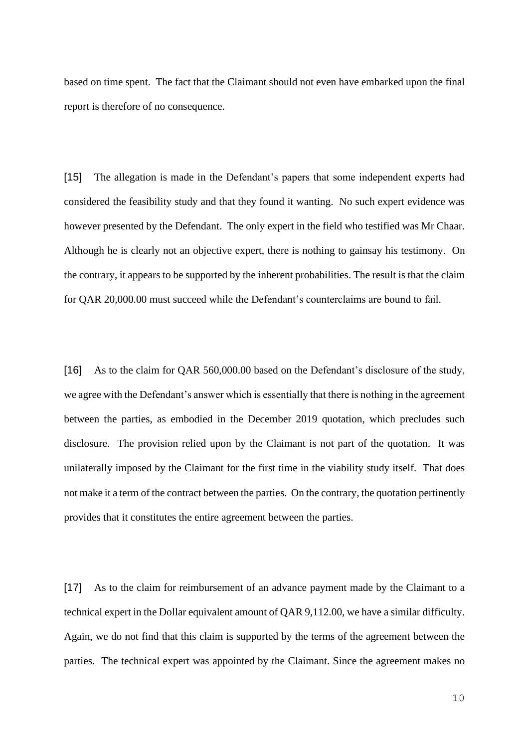based on time spent. The fact that the Claimant should not even have embarked upon the final report is therefore of no consequence.

[15] The allegation is made in the Defendant's papers that some independent experts had considered the feasibility study and that they found it wanting. No such expert evidence was however presented by the Defendant. The only expert in the field who testified was Mr Chaar. Although he is clearly not an objective expert, there is nothing to gainsay his testimony. On the contrary, it appears to be supported by the inherent probabilities. The result is that the claim for QAR 20,000.00 must succeed while the Defendant's counterclaims are bound to fail.

[16] As to the claim for QAR 560,000.00 based on the Defendant's disclosure of the study, we agree with the Defendant's answer which is essentially that there is nothing in the agreement between the parties, as embodied in the December 2019 quotation, which precludes such disclosure. The provision relied upon by the Claimant is not part of the quotation. It was unilaterally imposed by the Claimant for the first time in the viability study itself. That does not make it a term of the contract between the parties. On the contrary, the quotation pertinently provides that it constitutes the entire agreement between the parties.

[17] As to the claim for reimbursement of an advance payment made by the Claimant to a technical expert in the Dollar equivalent amount of QAR 9,112.00, we have a similar difficulty. Again, we do not find that this claim is supported by the terms of the agreement between the parties. The technical expert was appointed by the Claimant. Since the agreement makes no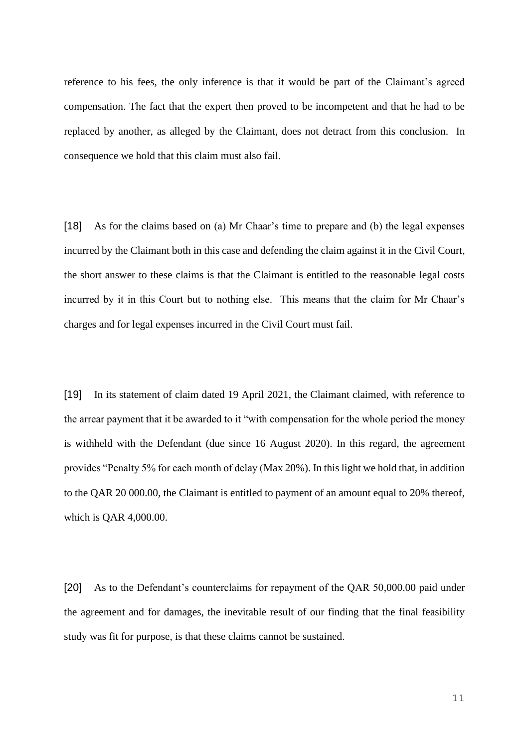reference to his fees, the only inference is that it would be part of the Claimant's agreed compensation. The fact that the expert then proved to be incompetent and that he had to be replaced by another, as alleged by the Claimant, does not detract from this conclusion. In consequence we hold that this claim must also fail.

[18] As for the claims based on (a) Mr Chaar's time to prepare and (b) the legal expenses incurred by the Claimant both in this case and defending the claim against it in the Civil Court, the short answer to these claims is that the Claimant is entitled to the reasonable legal costs incurred by it in this Court but to nothing else. This means that the claim for Mr Chaar's charges and for legal expenses incurred in the Civil Court must fail.

[19] In its statement of claim dated 19 April 2021, the Claimant claimed, with reference to the arrear payment that it be awarded to it "with compensation for the whole period the money is withheld with the Defendant (due since 16 August 2020). In this regard, the agreement provides "Penalty 5% for each month of delay (Max 20%). In this light we hold that, in addition to the QAR 20 000.00, the Claimant is entitled to payment of an amount equal to 20% thereof, which is QAR 4,000.00.

[20] As to the Defendant's counterclaims for repayment of the QAR 50,000.00 paid under the agreement and for damages, the inevitable result of our finding that the final feasibility study was fit for purpose, is that these claims cannot be sustained.